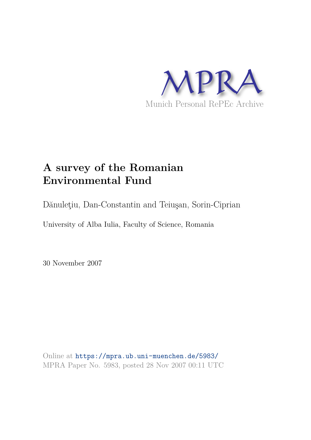

# **A survey of the Romanian Environmental Fund**

Dănuleţiu, Dan-Constantin and Teiuşan, Sorin-Ciprian

University of Alba Iulia, Faculty of Science, Romania

30 November 2007

Online at https://mpra.ub.uni-muenchen.de/5983/ MPRA Paper No. 5983, posted 28 Nov 2007 00:11 UTC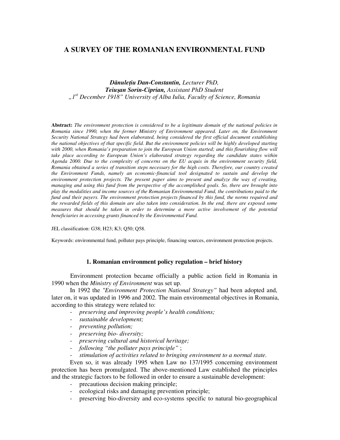# **A SURVEY OF THE ROMANIAN ENVIRONMENTAL FUND**

## *Dnule*-*iu Dan-Constantin, Lecturer PhD, Teiuan Sorin-Ciprian, Assistant PhD Student "1st December 1918" University of Alba Iulia, Faculty of Science, Romania*

**Abstract:** *The environment protection is considered to be a legitimate domain of the national policies in Romania since 1990, when the former Ministry of Environment appeared. Later on, the Environment Security National Strategy had been elaborated, being considered the first official document establishing the national objectives of that specific field. But the environment policies will be highly developed starting with 2000, when Romania's preparation to join the European Union started; and this flourishing flow will take place according to European Union's elaborated strategy regarding the candidate states within Agenda 2000. Due to the complexity of concerns on the EU acquis in the environment security field, Romania obtained a series of transition steps necessary for the high costs. Therefore, our country created the Environment Funds, namely an economic-financial tool designated to sustain and develop the environment protection projects. The present paper aims to present and analyze the way of creating, managing and using this fund from the perspective of the accomplished goals. So, there are brought into play the modalities and income sources of the Romanian Environmental Fund, the contributions paid to the fund and their payers. The environment protection projects financed by this fund, the norms required and the rewarded fields of this domain are also taken into consideration. In the end, there are exposed some measures that should be taken in order to determine a more active involvement of the potential beneficiaries in accessing grants financed by the Environmental Fund.* 

JEL classification: G38; H23; K3; Q50; Q58.

Keywords: environmental fund, polluter pays principle, financing sources, environment protection projects.

#### **1. Romanian environment policy regulation – brief history**

Environment protection became officially a public action field in Romania in 1990 when the *Ministry of Environment* was set up.

In 1992 the *"Environment Protection National Strategy"* had been adopted and, later on, it was updated in 1996 and 2002. The main environmental objectives in Romania, according to this strategy were related to:

- *preserving and improving people's health conditions;*
- *sustainable development;*
- *preventing pollution;*
- *preserving bio- diversity;*
- *preserving cultural and historical heritage;*
- *following "the polluter pays principle"* ;
- *stimulation of activities related to bringing environment to a normal state.*

Even so, it was already 1995 when Law no 137/1995 concerning environment protection has been promulgated. The above-mentioned Law established the principles and the strategic factors to be followed in order to ensure a sustainable development:

- precautious decision making principle;
- ecological risks and damaging prevention principle;
- preserving bio-diversity and eco-systems specific to natural bio-geographical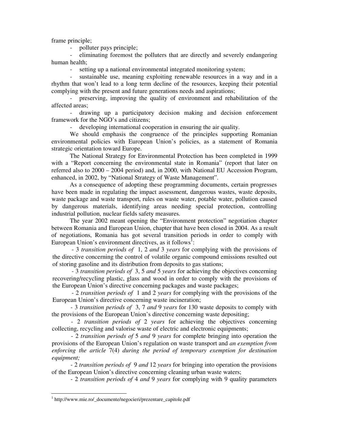frame principle;

polluter pays principle;

- eliminating foremost the polluters that are directly and severely endangering human health;

setting up a national environmental integrated monitoring system;

sustainable use, meaning exploiting renewable resources in a way and in a rhythm that won't lead to a long term decline of the resources, keeping their potential complying with the present and future generations needs and aspirations;

- preserving, improving the quality of environment and rehabilitation of the affected areas;

- drawing up a participatory decision making and decision enforcement framework for the NGO's and citizens;

- developing international cooperation in ensuring the air quality.

We should emphasis the congruence of the principles supporting Romanian environmental policies with European Union's policies, as a statement of Romania strategic orientation toward Europe.

The National Strategy for Environmental Protection has been completed in 1999 with a "Report concerning the environmental state in Romania" (report that later on referred also to 2000 – 2004 period) and, in 2000, with National EU Accession Program, enhanced, in 2002, by "National Strategy of Waste Management".

As a consequence of adopting these programming documents, certain progresses have been made in regulating the impact assessment, dangerous wastes, waste deposits, waste package and waste transport, rules on waste water, potable water, pollution caused by dangerous materials, identifying areas needing special protection, controlling industrial pollution, nuclear fields safety measures.

The year 2002 meant opening the "Environment protection" negotiation chapter between Romania and European Union, chapter that have been closed in 2004. As a result of negotiations, Romania has got several transition periods in order to comply with European Union's environment directives, as it follows<sup>1</sup>:

- 3 *transition periods of* 1, 2 *and* 3 *years* for complying with the provisions of the directive concerning the control of volatile organic compound emissions resulted out of storing gasoline and its distribution from deposits to gas stations;

- 3 *transition periods of* 3, 5 *and* 5 *years* for achieving the objectives concerning recovering/recycling plastic, glass and wood in order to comply with the provisions of the European Union's directive concerning packages and waste packages;

- 2 *transition periods of* 1 and 2 *years* for complying with the provisions of the European Union's directive concerning waste incineration;

- 3 *transition periods of* 3, 7 *and* 9 *years* for 130 waste deposits to comply with the provisions of the European Union's directive concerning waste depositing;

- 2 *transition periods of* 2 *years* for achieving the objectives concerning collecting, recycling and valorise waste of electric and electronic equipments;

- 2 *transition periods of* 5 *and* 9 *years* for complete bringing into operation the provisions of the European Union's regulation on waste transport and *an exemption from enforcing the article* 7(4) *during the period of temporary exemption for destination equipment;* 

- 2 *transition periods of* 9 *and* 12 *years* for bringing into operation the provisions of the European Union's directive concerning cleaning urban waste waters;

- 2 *transition periods of* 4 *and* 9 *years* for complying with 9 quality parameters

 $\ddot{\phantom{a}}$ 

<sup>1</sup> http://www.mie.ro/\_documente/negocieri/prezentare\_capitole.pdf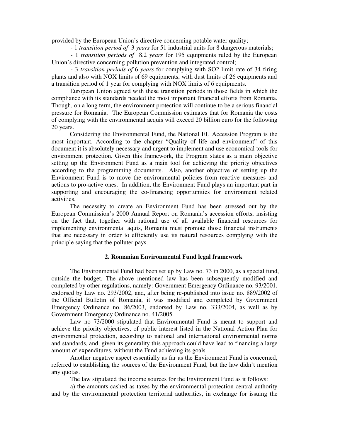provided by the European Union's directive concerning potable water quality;

- 1 *transition period of* 3 *years* for 51 industrial units for 8 dangerous materials;

- 1 *transition periods of* 8.2 *years* for 195 equipments ruled by the European Union's directive concerning pollution prevention and integrated control;

- 3 *transition periods of* 6 *years* for complying with SO2 limit rate of 34 firing plants and also with NOX limits of 69 equipments, with dust limits of 26 equipments and a transition period of 1 year for complying with NOX limits of 6 equipments.

European Union agreed with these transition periods in those fields in which the compliance with its standards needed the most important financial efforts from Romania. Though, on a long term, the environment protection will continue to be a serious financial pressure for Romania. The European Commission estimates that for Romania the costs of complying with the environmental acquis will exceed 20 billion euro for the following 20 years.

Considering the Environmental Fund, the National EU Accession Program is the most important. According to the chapter "Quality of life and environment" of this document it is absolutely necessary and urgent to implement and use economical tools for environment protection. Given this framework, the Program states as a main objective setting up the Environment Fund as a main tool for achieving the priority objectives according to the programming documents. Also, another objective of setting up the Environment Fund is to move the environmental policies from reactive measures and actions to pro-active ones. In addition, the Environment Fund plays an important part in supporting and encouraging the co-financing opportunities for environment related activities.

The necessity to create an Environment Fund has been stressed out by the European Commission's 2000 Annual Report on Romania's accession efforts, insisting on the fact that, together with rational use of all available financial resources for implementing environmental aquis, Romania must promote those financial instruments that are necessary in order to efficiently use its natural resources complying with the principle saying that the polluter pays.

#### **2. Romanian Environmental Fund legal framework**

The Environmental Fund had been set up by Law no. 73 in 2000, as a special fund, outside the budget. The above mentioned law has been subsequently modified and completed by other regulations, namely: Government Emergency Ordinance no. 93/2001, endorsed by Law no. 293/2002, and, after being re-published into issue no. 889/2002 of the Official Bulletin of Romania, it was modified and completed by Government Emergency Ordinance no. 86/2003, endorsed by Law no. 333/2004, as well as by Government Emergency Ordinance no. 41/2005.

Law no 73/2000 stipulated that Environmental Fund is meant to support and achieve the priority objectives, of public interest listed in the National Action Plan for environmental protection, according to national and international environmental norms and standards, and, given its generality this approach could have lead to financing a large amount of expenditures, without the Fund achieving its goals.

Another negative aspect essentially as far as the Environment Fund is concerned, referred to establishing the sources of the Environment Fund, but the law didn't mention any quotas.

The law stipulated the income sources for the Environment Fund as it follows:

a) the amounts cashed as taxes by the environmental protection central authority and by the environmental protection territorial authorities, in exchange for issuing the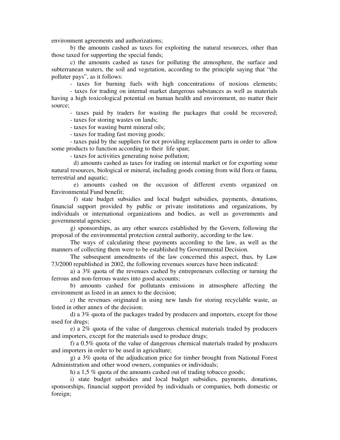environment agreements and authorizations;

b) the amounts cashed as taxes for exploiting the natural resources, other than those taxed for supporting the special funds;

c) the amounts cashed as taxes for polluting the atmosphere, the surface and subterranean waters, the soil and vegetation, according to the principle saying that "the polluter pays", as it follows:

- taxes for burning fuels with high concentrations of noxious elements;

 - taxes for trading on internal market dangerous substances as well as materials having a high toxicological potential on human health and environment, no matter their source;

- taxes paid by traders for wasting the packages that could be recovered;

- taxes for storing wastes on lands;

- taxes for wasting burnt mineral oils;

- taxes for trading fast moving goods;

 - taxes paid by the suppliers for not providing replacement parts in order to allow some products to function according to their life span;

- taxes for activities generating noise pollution;

d) amounts cashed as taxes for trading on internal market or for exporting some natural resources, biological or mineral, including goods coming from wild flora or fauna, terrestrial and aquatic;

e) amounts cashed on the occasion of different events organized on Environmental Fund benefit;

f) state budget subsidies and local budget subsidies, payments, donations, financial support provided by public or private institutions and organizations, by individuals or international organizations and bodies, as well as governments and governmental agencies;

g) sponsorships, as any other sources established by the Govern, following the proposal of the environmental protection central authority, according to the law.

The ways of calculating these payments according to the law, as well as the manners of collecting them were to be established by Governmental Decision.

The subsequent amendments of the law concerned this aspect, thus, by Law 73/2000 republished in 2002, the following revenues sources have been indicated:

 a) a 3% quota of the revenues cashed by entrepreneurs collecting or turning the ferrous and non-ferrous wastes into good accounts;

 b) amounts cashed for pollutants emissions in atmosphere affecting the environment as listed in an annex to the decision;

 c) the revenues originated in using new lands for storing recyclable waste, as listed in other annex of the decision;

 d) a 3% quota of the packages traded by producers and importers, except for those used for drugs;

 e) a 2% quota of the value of dangerous chemical materials traded by producers and importers, except for the materials used to produce drugs;

 f) a 0.5% quota of the value of dangerous chemical materials traded by producers and importers in order to be used in agriculture;

 g) a 3% quota of the adjudication price for timber brought from National Forest Administration and other wood owners, companies or individuals;

h) a 1,5 % quota of the amounts cashed out of trading tobacco goods;

 i) state budget subsidies and local budget subsidies, payments, donations, sponsorships, financial support provided by individuals or companies, both domestic or foreign;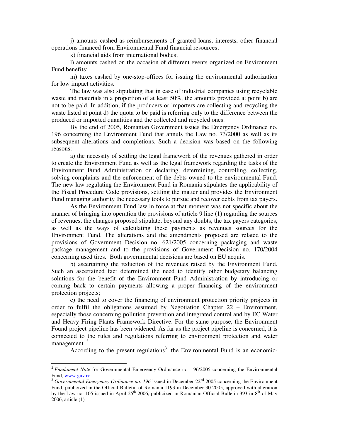j) amounts cashed as reimbursements of granted loans, interests, other financial operations financed from Environmental Fund financial resources;

k) financial aids from international bodies;

 l) amounts cashed on the occasion of different events organized on Environment Fund benefits;

 m) taxes cashed by one-stop-offices for issuing the environmental authorization for low impact activities.

 The law was also stipulating that in case of industrial companies using recyclable waste and materials in a proportion of at least 50%, the amounts provided at point b) are not to be paid. In addition, if the producers or importers are collecting and recycling the waste listed at point d) the quota to be paid is referring only to the difference between the produced or imported quantities and the collected and recycled ones.

By the end of 2005, Romanian Government issues the Emergency Ordinance no. 196 concerning the Environment Fund that annuls the Law no. 73/2000 as well as its subsequent alterations and completions. Such a decision was based on the following reasons:

a) the necessity of settling the legal framework of the revenues gathered in order to create the Environment Fund as well as the legal framework regarding the tasks of the Environment Fund Administration on declaring, determining, controlling, collecting, solving complaints and the enforcement of the debts owned to the environmental Fund. The new law regulating the Environment Fund in Romania stipulates the applicability of the Fiscal Procedure Code provisions, settling the matter and provides the Environment Fund managing authority the necessary tools to pursue and recover debts from tax payers.

As the Environment Fund law in force at that moment was not specific about the manner of bringing into operation the provisions of article 9 line (1) regarding the sources of revenues, the changes proposed stipulate, beyond any doubts, the tax payers categories, as well as the ways of calculating these payments as revenues sources for the Environment Fund. The alterations and the amendments proposed are related to the provisions of Government Decision no. 621/2005 concerning packaging and waste package management and to the provisions of Government Decision no. 170/2004 concerning used tires. Both governmental decisions are based on EU acquis.

b) ascertaining the reduction of the revenues raised by the Environment Fund. Such an ascertained fact determined the need to identify other budgetary balancing solutions for the benefit of the Environment Fund Administration by introducing or coming back to certain payments allowing a proper financing of the environment protection projects;

c) the need to cover the financing of environment protection priority projects in order to fulfil the obligations assumed by Negotiation Chapter 22 – Environment, especially those concerning pollution prevention and integrated control and by EC Water and Heavy Firing Plants Framework Directive. For the same purpose, the Environment Found project pipeline has been widened. As far as the project pipeline is concerned, it is connected to the rules and regulations referring to environment protection and water management.<sup>2</sup>

According to the present regulations<sup>3</sup>, the Environmental Fund is an economic-

 $\ddot{\phantom{a}}$ 

<sup>&</sup>lt;sup>2</sup> Fundament Note for Governmental Emergency Ordinance no. 196/2005 concerning the Environmental Fund, www.guv.ro.

<sup>3</sup> *Governmental Emergency Ordinance no. 196* issued in December 22nd 2005 concerning the Environment Fund, publicized in the Official Bulletin of Romania 1193 in December 30 2005, approved with alteration by the Law no. 105 issued in April 25<sup>th</sup> 2006, publicized in Romanian Official Bulletin 393 in 8<sup>th</sup> of May 2006, article (1)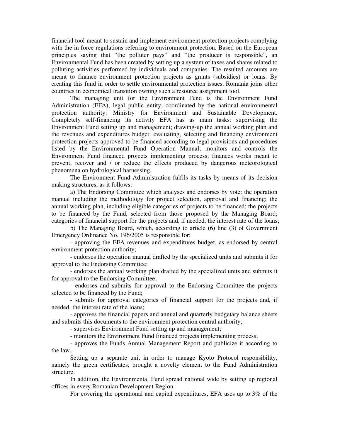financial tool meant to sustain and implement environment protection projects complying with the in force regulations referring to environment protection. Based on the European principles saying that "the polluter pays" and "the producer is responsible", an Environmental Fund has been created by setting up a system of taxes and shares related to polluting activities performed by individuals and companies. The resulted amounts are meant to finance environment protection projects as grants (subsidies) or loans. By creating this fund in order to settle environmental protection issues, Romania joins other countries in economical transition owning such a resource assignment tool.

The managing unit for the Environment Fund is the Environment Fund Administration (EFA), legal public entity, coordinated by the national environmental protection authority: Ministry for Environment and Sustainable Development. Completely self-financing its activity EFA has as main tasks: supervising the Environment Fund setting up and management; drawing-up the annual working plan and the revenues and expenditures budget: evaluating, selecting and financing environment protection projects approved to be financed according to legal provisions and procedures listed by the Environmental Fund Operation Manual; monitors and controls the Environment Fund financed projects implementing process; finances works meant to prevent, recover and / or reduce the effects produced by dangerous meteorological phenomena on hydrological harnessing.

The Environment Fund Administration fulfils its tasks by means of its decision making structures, as it follows:

a) The Endorsing Committee which analyses and endorses by vote: the operation manual including the methodology for project selection, approval and financing; the annual working plan, including eligible categories of projects to be financed; the projects to be financed by the Fund, selected from those proposed by the Managing Board; categories of financial support for the projects and, if needed, the interest rate of the loans;

b) The Managing Board, which, according to article (6) line (3) of Government Emergency Ordinance No. 196/2005 is responsible for:

- approving the EFA revenues and expenditures budget, as endorsed by central environment protection authority;

- endorses the operation manual drafted by the specialized units and submits it for approval to the Endorsing Committee;

- endorses the annual working plan drafted by the specialized units and submits it for approval to the Endorsing Committee;

- endorses and submits for approval to the Endorsing Committee the projects selected to be financed by the Fund;

- submits for approval categories of financial support for the projects and, if needed, the interest rate of the loans;

- approves the financial papers and annual and quarterly budgetary balance sheets and submits this documents to the environment protection central authority;

- supervises Environment Fund setting up and management;

- monitors the Environment Fund financed projects implementing process;

- approves the Funds Annual Management Report and publicize it according to the law.

Setting up a separate unit in order to manage Kyoto Protocol responsibility, namely the green certificates, brought a novelty element to the Fund Administration structure.

In addition, the Environmental Fund spread national wide by setting up regional offices in every Romanian Development Region.

For covering the operational and capital expenditures, EFA uses up to 3% of the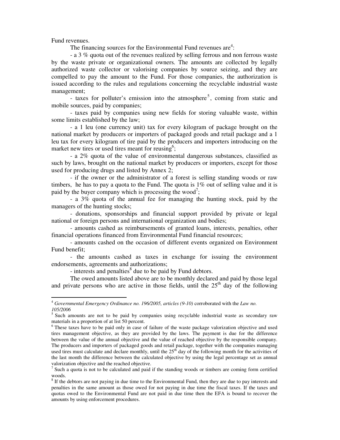Fund revenues.

 $\ddot{\phantom{a}}$ 

The financing sources for the Environmental Fund revenues  $are^4$ :

- a 3 % quota out of the revenues realized by selling ferrous and non ferrous waste by the waste private or organizational owners. The amounts are collected by legally authorized waste collector or valorising companies by source seizing, and they are compelled to pay the amount to the Fund. For those companies, the authorization is issued according to the rules and regulations concerning the recyclable industrial waste management;

- taxes for polluter's emission into the atmosphere<sup>5</sup>, coming from static and mobile sources, paid by companies;

- taxes paid by companies using new fields for storing valuable waste, within some limits established by the law;

- a 1 leu (one currency unit) tax for every kilogram of package brought on the national market by producers or importers of packaged goods and retail package and a 1 leu tax for every kilogram of tire paid by the producers and importers introducing on the market new tires or used tires meant for reusing<sup>6</sup>;

- a 2% quota of the value of environmental dangerous substances, classified as such by laws, brought on the national market by producers or importers, except for those used for producing drugs and listed by Annex 2;

- if the owner or the administrator of a forest is selling standing woods or raw timbers, he has to pay a quota to the Fund. The quota is 1% out of selling value and it is paid by the buyer company which is processing the wood<sup>7</sup>;

- a 3% quota of the annual fee for managing the hunting stock, paid by the managers of the hunting stocks;

- donations, sponsorships and financial support provided by private or legal national or foreign persons and international organization and bodies;

- amounts cashed as reimbursements of granted loans, interests, penalties, other financial operations financed from Environmental Fund financial resources;

- amounts cashed on the occasion of different events organized on Environment Fund benefit;

- the amounts cashed as taxes in exchange for issuing the environment endorsements, agreements and authorizations;

- interests and penalties $8$  due to be paid by Fund debtors.

The owed amounts listed above are to be monthly declared and paid by those legal and private persons who are active in those fields, until the  $25<sup>th</sup>$  day of the following

<sup>4</sup> *Governmental Emergency Ordinance no. 196/2005, articles (9-10)* corroborated with the *Law no. 105/2006* 

<sup>&</sup>lt;sup>5</sup> Such amounts are not to be paid by companies using recyclable industrial waste as secondary raw materials in a proportion of at list 50 percent.

<sup>&</sup>lt;sup>6</sup> These taxes have to be paid only in case of failure of the waste package valorization objective and used tires management objective, as they are provided by the laws. The payment is due for the difference between the value of the annual objective and the value of reached objective by the responsible company. The producers and importers of packaged goods and retail package, together with the companies managing used tires must calculate and declare monthly, until the 25<sup>th</sup> day of the following month for the activities of the last month the difference between the calculated objective by using the legal percentage set as annual valorization objective and the reached objective.

 $<sup>7</sup>$  Such a quota is not to be calculated and paid if the standing woods or timbers are coming form certified</sup> woods.

<sup>&</sup>lt;sup>8</sup> If the debtors are not paying in due time to the Environmental Fund, then they are due to pay interests and penalties in the same amount as those owed for not paying in due time the fiscal taxes. If the taxes and quotas owed to the Environmental Fund are not paid in due time then the EFA is bound to recover the amounts by using enforcement procedures.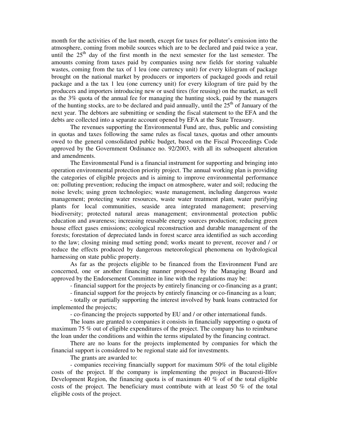month for the activities of the last month, except for taxes for polluter's emission into the atmosphere, coming from mobile sources which are to be declared and paid twice a year, until the  $25<sup>th</sup>$  day of the first month in the next semester for the last semester. The amounts coming from taxes paid by companies using new fields for storing valuable wastes, coming from the tax of 1 leu (one currency unit) for every kilogram of package brought on the national market by producers or importers of packaged goods and retail package and a the tax 1 leu (one currency unit) for every kilogram of tire paid by the producers and importers introducing new or used tires (for reusing) on the market, as well as the 3% quota of the annual fee for managing the hunting stock, paid by the managers of the hunting stocks, are to be declared and paid annually, until the  $25<sup>th</sup>$  of January of the next year. The debtors are submitting or sending the fiscal statement to the EFA and the debts are collected into a separate account opened by EFA at the State Treasury.

The revenues supporting the Environmental Fund are, thus, public and consisting in quotas and taxes following the same rules as fiscal taxes, quotas and other amounts owed to the general consolidated public budget, based on the Fiscal Proceedings Code approved by the Government Ordinance no. 92/2003, with all its subsequent alteration and amendments.

The Environmental Fund is a financial instrument for supporting and bringing into operation environmental protection priority project. The annual working plan is providing the categories of eligible projects and is aiming to improve environmental performance on: polluting prevention; reducing the impact on atmosphere, water and soil; reducing the noise levels; using green technologies; waste management, including dangerous waste management; protecting water resources, waste water treatment plant, water purifying plants for local communities, seaside area integrated management; preserving biodiversity; protected natural areas management; environmental protection public education and awareness; increasing reusable energy sources production; reducing green house effect gases emissions; ecological reconstruction and durable management of the forests; forestation of depreciated lands in forest scarce area identified as such according to the law; closing mining mud setting pond; works meant to prevent, recover and / or reduce the effects produced by dangerous meteorological phenomena on hydrological harnessing on state public property.

As far as the projects eligible to be financed from the Environment Fund are concerned, one or another financing manner proposed by the Managing Board and approved by the Endorsement Committee in line with the regulations may be:

- financial support for the projects by entirely financing or co-financing as a grant;

- financial support for the projects by entirely financing or co-financing as a loan;

- totally or partially supporting the interest involved by bank loans contracted for implemented the projects;

- co-financing the projects supported by EU and / or other international funds.

The loans are granted to companies it consists in financially supporting o quota of maximum 75 % out of eligible expenditures of the project. The company has to reimburse the loan under the conditions and within the terms stipulated by the financing contract.

There are no loans for the projects implemented by companies for which the financial support is considered to be regional state aid for investments.

The grants are awarded to:

- companies receiving financially support for maximum 50% of the total eligible costs of the project. If the company is implementing the project in Bucuresti-Ilfov Development Region, the financing quota is of maximum  $40\%$  of of the total eligible costs of the project. The beneficiary must contribute with at least 50 % of the total eligible costs of the project.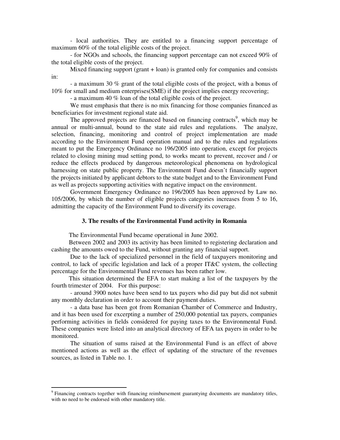- local authorities. They are entitled to a financing support percentage of maximum 60% of the total eligible costs of the project.

- for NGOs and schools, the financing support percentage can not exceed 90% of the total eligible costs of the project.

Mixed financing support (grant + loan) is granted only for companies and consists in:

- a maximum 30 % grant of the total eligible costs of the project, with a bonus of 10% for small and medium enterprises(SME) if the project implies energy recovering;

- a maximum 40 % loan of the total eligible costs of the project.

We must emphasis that there is no mix financing for those companies financed as beneficiaries for investment regional state aid.

The approved projects are financed based on financing contracts<sup>9</sup>, which may be annual or multi-annual, bound to the state aid rules and regulations. The analyze, selection, financing, monitoring and control of project implementation are made according to the Environment Fund operation manual and to the rules and regulations meant to put the Emergency Ordinance no 196/2005 into operation, except for projects related to closing mining mud setting pond, to works meant to prevent, recover and / or reduce the effects produced by dangerous meteorological phenomena on hydrological harnessing on state public property. The Environment Fund doesn't financially support the projects initiated by applicant debtors to the state budget and to the Environment Fund as well as projects supporting activities with negative impact on the environment.

Government Emergency Ordinance no 196/2005 has been approved by Law no. 105/2006, by which the number of eligible projects categories increases from 5 to 16, admitting the capacity of the Environment Fund to diversify its coverage.

# **3. The results of the Environmental Fund activity in Romania**

The Environmental Fund became operational in June 2002.

Between 2002 and 2003 its activity has been limited to registering declaration and cashing the amounts owed to the Fund, without granting any financial support.

 Due to the lack of specialized personnel in the field of taxpayers monitoring and control, to lack of specific legislation and lack of a proper IT&C system, the collecting percentage for the Environmental Fund revenues has been rather low.

This situation determined the EFA to start making a list of the taxpayers by the fourth trimester of 2004. For this purpose:

- around 3900 notes have been send to tax payers who did pay but did not submit any monthly declaration in order to account their payment duties.

- a data base has been got from Romanian Chamber of Commerce and Industry, and it has been used for excerpting a number of 250,000 potential tax payers, companies performing activities in fields considered for paying taxes to the Environmental Fund. These companies were listed into an analytical directory of EFA tax payers in order to be monitored.

The situation of sums raised at the Environmental Fund is an effect of above mentioned actions as well as the effect of updating of the structure of the revenues sources, as listed in Table no. 1.

 $\ddot{\phantom{a}}$ 

<sup>&</sup>lt;sup>9</sup> Financing contracts together with financing reimbursement guarantying documents are mandatory titles, with no need to be endorsed with other mandatory title.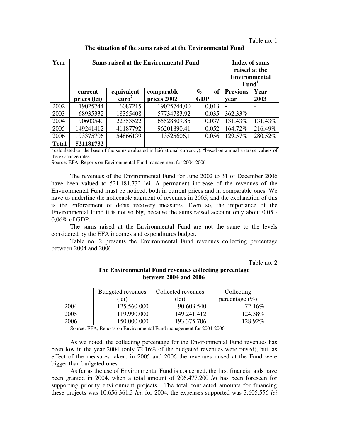| Year         | <b>Sums raised at the Environmental Fund</b>      |                   |                 |            | <b>Index of sums</b><br>raised at the<br><b>Environmental</b><br>Fund <sup>1</sup> |         |
|--------------|---------------------------------------------------|-------------------|-----------------|------------|------------------------------------------------------------------------------------|---------|
|              | $\%$<br>of<br>equivalent<br>comparable<br>current |                   | <b>Previous</b> | Year       |                                                                                    |         |
|              | prices (lei)                                      | euro <sup>2</sup> | prices 2002     | <b>GDP</b> | vear                                                                               | 2003    |
| 2002         | 19025744                                          | 6087215           | 19025744,00     | 0,013      |                                                                                    |         |
| 2003         | 68935332                                          | 18355408          | 57734783,92     | 0,035      | 362,33%                                                                            |         |
| 2004         | 90603540                                          | 22353522          | 65528809,85     | 0,037      | 131,43%                                                                            | 131,43% |
| 2005         | 149241412                                         | 41187792          | 96201890,41     | 0,052      | 164,72%                                                                            | 216,49% |
| 2006         | 193375706                                         | 54866139          | 113525606,1     | 0,056      | 129,57%                                                                            | 280,52% |
| <b>Total</b> | 521181732                                         |                   |                 |            |                                                                                    |         |

#### **The situation of the sums raised at the Environmental Fund**

 $1$ calculated on the base of the sums evaluated in lei(national currency); <sup>2</sup>based on annual average values of the exchange rates

Source: EFA, Reports on Environmental Fund management for 2004-2006

The revenues of the Environmental Fund for June 2002 to 31 of December 2006 have been valued to 521.181.732 lei. A permanent increase of the revenues of the Environmental Fund must be noticed, both in current prices and in comparable ones. We have to underline the noticeable augment of revenues in 2005, and the explanation of this is the enforcement of debts recovery measures. Even so, the importance of the Environmental Fund it is not so big, because the sums raised account only about 0,05 - 0,06% of GDP.

The sums raised at the Environmental Fund are not the same to the levels considered by the EFA incomes and expenditures budget.

Table no. 2 presents the Environmental Fund revenues collecting percentage between 2004 and 2006.

Table no. 2

|      | <b>Budgeted revenues</b> | Collected revenues | Collecting         |
|------|--------------------------|--------------------|--------------------|
|      | (lei)                    | (lei)              | percentage $(\% )$ |
| 2004 | 125.560.000              | 90.603.540         | 72,16%             |
| 2005 | 119.990.000              | 149.241.412        | 124,38%            |
| 2006 | 150.000.000              | 193.375.706        | 128,92%            |

# **The Environmental Fund revenues collecting percentage between 2004 and 2006**

Source: EFA, Reports on Environmental Fund management for 2004-2006

As we noted, the collecting percentage for the Environmental Fund revenues has been low in the year 2004 (only 72,16% of the budgeted revenues were raised), but, as effect of the measures taken, in 2005 and 2006 the revenues raised at the Fund were bigger than budgeted ones.

As far as the use of Environmental Fund is concerned, the first financial aids have been granted in 2004, when a total amount of 206.477.200 *lei* has been foreseen for supporting priority environment projects. The total contracted amounts for financing these projects was 10.656.361,3 *lei*, for 2004, the expenses supported was 3.605.556 *lei*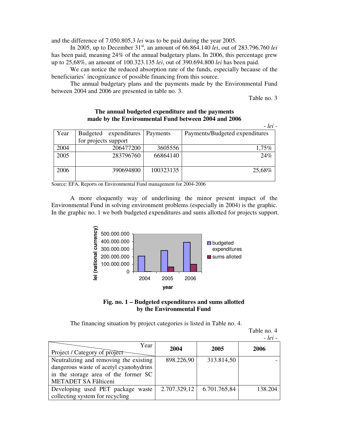and the difference of 7.050.805,3 *lei* was to be paid during the year 2005.

 In 2005, up to December 31st, an amount of 66.864.140 *lei*, out of 283.796.760 *lei* has been paid, meaning 24% of the annual budgetary plans. In 2006, this percentage grew up to 25,68%, an amount of 100.323.135 *lei*, out of 390.694.800 *lei* has been paid.

 We can notice the reduced absorption rate of the funds, especially because of the beneficiaries' incognizance of possible financing from this source.

 The annual budgetary plans and the payments made by the Environmental Fund between 2004 and 2006 are presented in table no. 3.

Table no. 3

# **The annual budgeted expenditure and the payments made by the Environmental Fund between 2004 and 2006**

|      |                                 |           | - lei -                        |
|------|---------------------------------|-----------|--------------------------------|
| Year | expenditures<br><b>Budgeted</b> | Payments  | Payments/Budgeted expenditures |
|      | for projects support            |           |                                |
| 2004 | 206477200                       | 3605556   | 1,75%                          |
| 2005 | 283796760                       | 66864140  | 24%                            |
|      |                                 |           |                                |
| 2006 | 390694800                       | 100323135 | 25,68%                         |
|      |                                 |           |                                |

Source: EFA, Reports on Environmental Fund management for 2004-2006

 A more eloquently way of underlining the minor present impact of the Environmental Fund in solving environment problems (especially in 2004) is the graphic. In the graphic no. 1 we both budgeted expenditures and sums allotted for projects support.





The financing situation by project categories is listed in Table no. 4.

| Table no. 4    |
|----------------|
| - <i>loi</i> - |

|                                        |              |              | - vcv   |
|----------------------------------------|--------------|--------------|---------|
| Year<br>Project / Category of project  | 2004         | 2005         | 2006    |
| Neutralizing and removing the existing | 898.226,90   | 313.814,50   |         |
| dangerous waste of acetyl cyanohydrins |              |              |         |
| in the storage area of the former SC   |              |              |         |
| METADET SA Fălticeni                   |              |              |         |
| Developing used PET package waste      | 2.707.329,12 | 6.701.765,84 | 138.204 |
| collecting system for recycling        |              |              |         |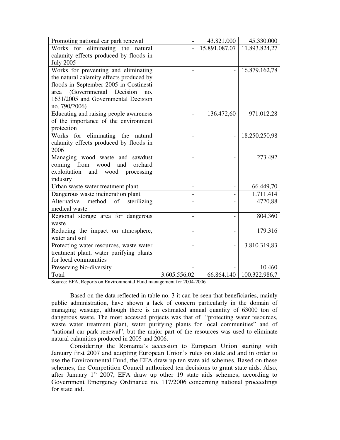| Promoting national car park renewal               |              | 43.821.000    | 45.330.000                 |
|---------------------------------------------------|--------------|---------------|----------------------------|
| Works for eliminating the natural                 |              | 15.891.087,07 | 11.893.824,27              |
| calamity effects produced by floods in            |              |               |                            |
| <b>July 2005</b>                                  |              |               |                            |
| Works for preventing and eliminating              |              |               | 16.879.162,78              |
| the natural calamity effects produced by          |              |               |                            |
| floods in September 2005 in Costinesti            |              |               |                            |
| area (Governmental Decision<br>no.                |              |               |                            |
| 1631/2005 and Governmental Decision               |              |               |                            |
| no. 790/2006)                                     |              |               |                            |
| Educating and raising people awareness            |              | 136.472,60    | 971.012,28                 |
| of the importance of the environment              |              |               |                            |
| protection<br>Works for eliminating the           |              |               | 18.250.250,98              |
| natural<br>calamity effects produced by floods in |              |               |                            |
| 2006                                              |              |               |                            |
| Managing wood waste and sawdust                   |              |               | 273.492                    |
| coming from wood<br>and<br>orchard                |              |               |                            |
| exploitation<br>processing<br>and wood            |              |               |                            |
| industry                                          |              |               |                            |
| Urban waste water treatment plant                 |              |               | 66.449,70                  |
| Dangerous waste incineration plant                |              |               | 1.711.414                  |
| Alternative<br>sterilizing<br>method<br>of        |              |               | 4720,88                    |
| medical waste                                     |              |               |                            |
| Regional storage area for dangerous               |              |               | 804.360                    |
| waste                                             |              |               |                            |
| Reducing the impact on atmosphere,                |              |               | 179.316                    |
| water and soil                                    |              |               |                            |
| Protecting water resources, waste water           |              |               | 3.810.319,83               |
| treatment plant, water purifying plants           |              |               |                            |
| for local communities                             |              |               |                            |
| Preserving bio-diversity                          |              |               | 10.460                     |
| Total                                             | 3.605.556,02 |               | 66.864.140   100.322.986,7 |

Source: EFA, Reports on Environmental Fund management for 2004-2006

Based on the data reflected in table no. 3 it can be seen that beneficiaries, mainly public administration, have shown a lack of concern particularly in the domain of managing wastage, although there is an estimated annual quantity of 63000 ton of dangerous waste. The most accessed projects was that of "protecting water resources, waste water treatment plant, water purifying plants for local communities" and of "national car park renewal", but the major part of the resources was used to eliminate natural calamities produced in 2005 and 2006.

Considering the Romania's accession to European Union starting with January first 2007 and adopting European Union's rules on state aid and in order to use the Environmental Fund, the EFA draw up ten state aid schemes. Based on these schemes, the Competition Council authorized ten decisions to grant state aids. Also, after January  $1<sup>st</sup>$  2007, EFA draw up other 19 state aids schemes, according to Government Emergency Ordinance no. 117/2006 concerning national proceedings for state aid.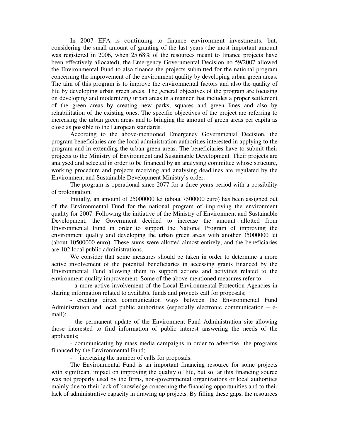In 2007 EFA is continuing to finance environment investments, but, considering the small amount of granting of the last years (the most important amount was registered in 2006, when 25.68% of the resources meant to finance projects have been effectively allocated), the Emergency Governmental Decision no 59/2007 allowed the Environmental Fund to also finance the projects submitted for the national program concerning the improvement of the environment quality by developing urban green areas. The aim of this program is to improve the environmental factors and also the quality of life by developing urban green areas. The general objectives of the program are focusing on developing and modernizing urban areas in a manner that includes a proper settlement of the green areas by creating new parks, squares and green lines and also by rehabilitation of the existing ones. The specific objectives of the project are referring to increasing the urban green areas and to bringing the amount of green areas per capita as close as possible to the European standards.

According to the above-mentioned Emergency Governmental Decision, the program beneficiaries are the local administration authorities interested in applying to the program and in extending the urban green areas. The beneficiaries have to submit their projects to the Ministry of Environment and Sustainable Development. Their projects are analysed and selected in order to be financed by an analysing committee whose structure, working procedure and projects receiving and analysing deadlines are regulated by the Environment and Sustainable Development Ministry's order.

The program is operational since 2077 for a three years period with a possibility of prolongation.

Initially, an amount of 25000000 lei (about 7500000 euro) has been assigned out of the Environmental Fund for the national program of improving the environment quality for 2007. Following the initiative of the Ministry of Environment and Sustainable Development, the Government decided to increase the amount allotted from Environmental Fund in order to support the National Program of improving the environment quality and developing the urban green areas with another 35000000 lei (about 10500000 euro). These sums were allotted almost entirely, and the beneficiaries are 102 local public administrations.

We consider that some measures should be taken in order to determine a more active involvement of the potential beneficiaries in accessing grants financed by the Environmental Fund allowing them to support actions and activities related to the environment quality improvement. Some of the above-mentioned measures refer to:

- a more active involvement of the Local Environmental Protection Agencies in sharing information related to available funds and projects call for proposals;

- creating direct communication ways between the Environmental Fund Administration and local public authorities (especially electronic communication – email);

- the permanent update of the Environment Fund Administration site allowing those interested to find information of public interest answering the needs of the applicants;

- communicating by mass media campaigns in order to advertise the programs financed by the Environmental Fund;

- increasing the number of calls for proposals.

The Environmental Fund is an important financing resource for some projects with significant impact on improving the quality of life, but so far this financing source was not properly used by the firms, non-governmental organizations or local authorities mainly due to their lack of knowledge concerning the financing opportunities and to their lack of administrative capacity in drawing up projects. By filling these gaps, the resources